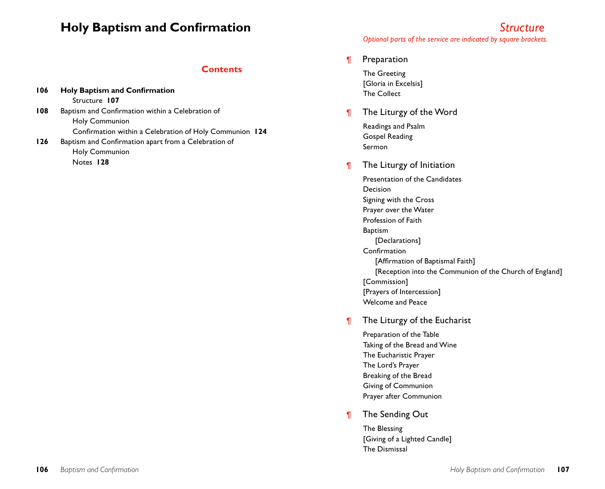# **Holy Baptism and Confirmation**

### **Contents**

## **106 Holy Baptism and Confirmation** Structure **107 108** Baptism and Confirmation within a Celebration of Holy Communion Confirmation within a Celebration of Holy Communion **124 126** Baptism and Confirmation apart from a Celebration of Holy Communion Notes **128**

# *Structure Optional parts of the service are indicated by square brackets.*

# ¶ Preparation

The Greeting [Gloria in Excelsis] The Collect

- **The Liturgy of the Word** Readings and Psalm Gospel Reading Sermon
- **The Liturgy of Initiation**

Presentation of the Candidates Decision Signing with the Cross Prayer over the Water Profession of Faith Baptism [Declarations] Confirmation [Affirmation of Baptismal Faith] [Reception into the Communion of the Church of England] [Commission] [Prayers of Intercession] Welcome and Peace

**The Liturgy of the Eucharist** 

Preparation of the Table Taking of the Bread and Wine The Eucharistic Prayer The Lord's Prayer Breaking of the Bread Giving of Communion Prayer after Communion

**The Sending Out** 

The Blessing [Giving of a Lighted Candle] The Dismissal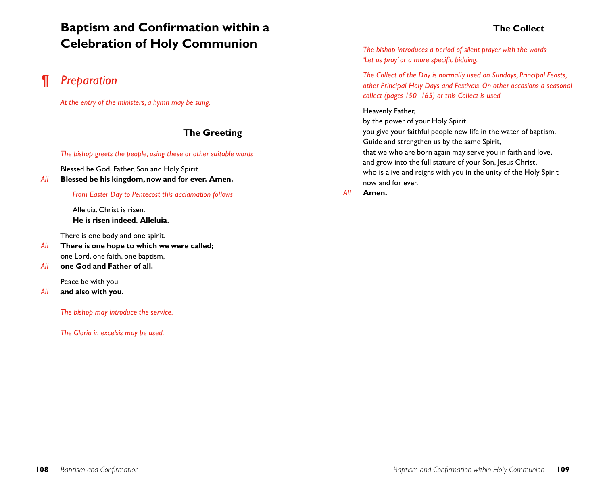# **Baptism and Confirmation within a Celebration of Holy Communion**

# *¶ Preparation*

*At the entry of the ministers, a hymn may be sung.*

## **The Greeting**

*The bishop greets the people, using these or other suitable words*

Blessed be God, Father, Son and Holy Spirit.

*All* **Blessed be his kingdom, now and for ever. Amen.**

*From Easter Day to Pentecost this acclamation follows*

Alleluia. Christ is risen. **He is risen indeed. Alleluia.**

There is one body and one spirit.

- *All* **There is one hope to which we were called;** one Lord, one faith, one baptism,
- *All* **one God and Father of all.**

Peace be with you

*All* **and also with you.**

*The bishop may introduce the service.*

*The Gloria in excelsis may be used.*

# **The Collect**

*The bishop introduces a period of silent prayer with the words 'Let us pray' or a more specific bidding.*

*The Collect of the Day is normally used on Sundays, Principal Feasts, other Principal Holy Days and Festivals. On other occasions a seasonal collect (pages 150–165) or this Collect is used*

Heavenly Father,

by the power of your Holy Spirit you give your faithful people new life in the water of baptism. Guide and strengthen us by the same Spirit, that we who are born again may serve you in faith and love, and grow into the full stature of your Son, Jesus Christ, who is alive and reigns with you in the unity of the Holy Spirit now and for ever.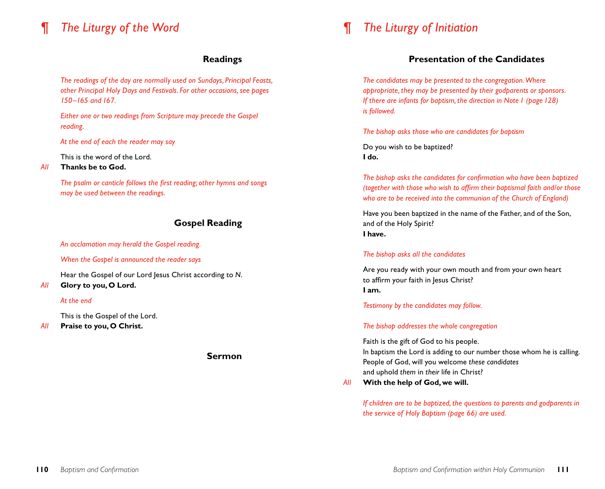# ¶ *The Liturgy of the Word*

## **Readings**

*The readings of the day are normally used on Sundays, Principal Feasts, other Principal Holy Days and Festivals. For other occasions, see pages 150–165 and 167.*

*Either one or two readings from Scripture may precede the Gospel reading.*

*At the end of each the reader may say*

This is the word of the Lord.

*All* **Thanks be to God.**

*The psalm or canticle follows the first reading; other hymns and songs may be used between the readings.*

# **Gospel Reading**

*An acclamation may herald the Gospel reading.*

*When the Gospel is announced the reader says*

Hear the Gospel of our Lord Jesus Christ according to N.

## *All* **Glory to you, O Lord.**

### *At the end*

This is the Gospel of the Lord.

*All* **Praise to you, O Christ.**

## **Sermon**

# ¶ *The Liturgy of Initiation*

# **Presentation of the Candidates**

*The candidates may be presented to the congregation. Where appropriate, they may be presented by their godparents or sponsors. If there are infants for baptism, the direction in Note 1 (page 128) is followed.*

*The bishop asks those who are candidates for baptism*

Do you wish to be baptized? **I do.**

*The bishop asks the candidates for confirmation who have been baptized (together with those who wish to affirm their baptismal faith and/or those who are to be received into the communion of the Church of England)*

Have you been baptized in the name of the Father, and of the Son, and of the Holy Spirit? **I have.**

## *The bishop asks all the candidates*

Are you ready with your own mouth and from your own heart to affirm your faith in Jesus Christ? **I am.**

*Testimony by the candidates may follow.*

### *The bishop addresses the whole congregation*

Faith is the gift of God to his people. In baptism the Lord is adding to our number those whom he is calling. People of God, will you welcome *these candidates*  and uphold *them* in *their* life in Christ?

*All* **With the help of God,we will.**

*If children are to be baptized, the questions to parents and godparents in the service of Holy Baptism (page 66) are used.*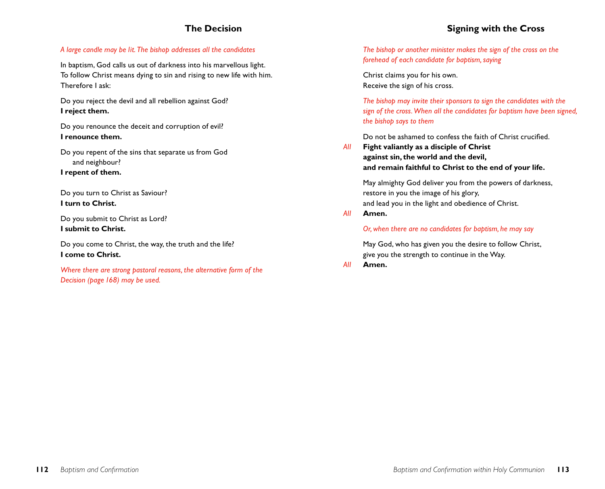# **The Decision**

# **Signing with the Cross**

#### *A large candle may be lit. The bishop addresses all the candidates*

In baptism, God calls us out of darkness into his marvellous light. To follow Christ means dying to sin and rising to new life with him. Therefore I ask:

Do you reject the devil and all rebellion against God? **I reject them.**

Do you renounce the deceit and corruption of evil? **I renounce them.**

Do you repent of the sins that separate us from God and neighbour?

**I repent of them.**

Do you turn to Christ as Saviour? **I turn to Christ.**

Do you submit to Christ as Lord? **I submit to Christ.**

Do you come to Christ, the way, the truth and the life? **I come to Christ.**

*Where there are strong pastoral reasons, the alternative form of the Decision (page 168) may be used.*

*The bishop or another minister makes the sign of the cross on the forehead of each candidate for baptism, saying*

Christ claims you for his own. Receive the sign of his cross.

*The bishop may invite their sponsors to sign the candidates with the sign of the cross. When all the candidates for baptism have been signed, the bishop says to them* 

Do not be ashamed to confess the faith of Christ crucified.

*All* **Fight valiantly as a disciple of Christ against sin, the world and the devil, and remain faithful to Christ to the end of your life.**

May almighty God deliver you from the powers of darkness, restore in you the image of his glory, and lead you in the light and obedience of Christ.

*All* **Amen.**

*Or, when there are no candidates for baptism, he may say*

May God, who has given you the desire to follow Christ, give you the strength to continue in the Way.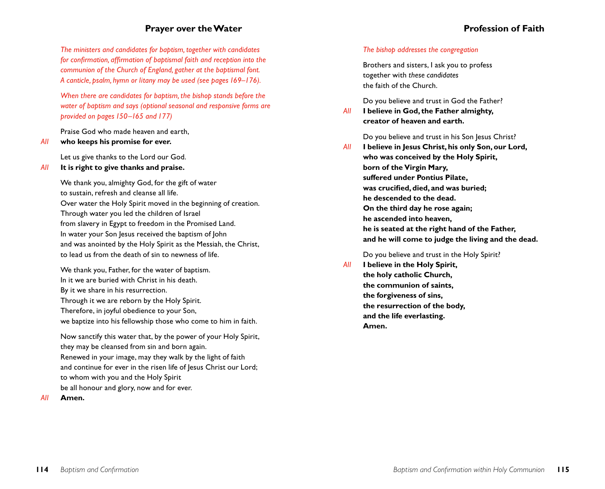## **Prayer over the Water**

*The ministers and candidates for baptism, together with candidates for confirmation, affirmation of baptismal faith and reception into the communion of the Church of England, gather at the baptismal font. A canticle, psalm, hymn or litany may be used (see pages 169–176).*

*When there are candidates for baptism, the bishop stands before the water of baptism and says (optional seasonal and responsive forms are provided on pages 150–165 and 177)*

Praise God who made heaven and earth,

#### *All* **who keeps his promise for ever.**

Let us give thanks to the Lord our God.

#### *All* **It is right to give thanks and praise.**

We thank you, almighty God, for the gift of water to sustain, refresh and cleanse all life. Over water the Holy Spirit moved in the beginning of creation. Through water you led the children of Israel from slavery in Egypt to freedom in the Promised Land. In water your Son Jesus received the baptism of John and was anointed by the Holy Spirit as the Messiah, the Christ, to lead us from the death of sin to newness of life.

We thank you, Father, for the water of baptism. In it we are buried with Christ in his death. By it we share in his resurrection. Through it we are reborn by the Holy Spirit. Therefore, in joyful obedience to your Son, we baptize into his fellowship those who come to him in faith.

Now sanctify this water that, by the power of your Holy Spirit, they may be cleansed from sin and born again. Renewed in your image, may they walk by the light of faith and continue for ever in the risen life of Jesus Christ our Lord; to whom with you and the Holy Spirit be all honour and glory, now and for ever.

*All* **Amen.**

#### *The bishop addresses the congregation*

Brothers and sisters, I ask you to profess together with *these candidates* the faith of the Church.

Do you believe and trust in God the Father?

*All* **I believe in God, the Father almighty, creator of heaven and earth.**

Do you believe and trust in his Son Jesus Christ?

*All* **I believe in Jesus Christ, his only Son, our Lord, who was conceived by the Holy Spirit, born of the Virgin Mary, suffered under Pontius Pilate, was crucified, died, and was buried; he descended to the dead. On the third day he rose again; he ascended into heaven, he is seated at the right hand of the Father, and he will come to judge the living and the dead.**

Do you believe and trust in the Holy Spirit?

*All* **I believe in the Holy Spirit, the holy catholic Church, the communion of saints, the forgiveness of sins, the resurrection of the body, and the life everlasting. Amen.**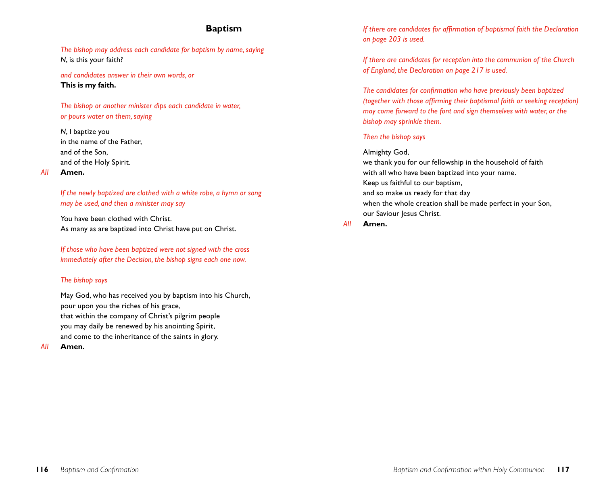## **Baptism**

*The bishop may address each candidate for baptism by name, saying N*, is this your faith?

*and candidates answer in their own words, or* **This is my faith.**

*The bishop or another minister dips each candidate in water, or pours water on them, saying* 

*N*, I baptize you in the name of the Father, and of the Son, and of the Holy Spirit.

#### *All* **Amen.**

*If the newly baptized are clothed with a white robe, a hymn or song may be used, and then a minister may say*

You have been clothed with Christ. As many as are baptized into Christ have put on Christ.

*If those who have been baptized were not signed with the cross immediately after the Decision, the bishop signs each one now.*

#### *The bishop says*

May God, who has received you by baptism into his Church, pour upon you the riches of his grace, that within the company of Christ's pilgrim people you may daily be renewed by his anointing Spirit, and come to the inheritance of the saints in glory.

*All* **Amen.**

*If there are candidates for affirmation of baptismal faith the Declaration on page 203 is used.*

*If there are candidates for reception into the communion of the Church of England, the Declaration on page 217 is used.*

*The candidates for confirmation who have previously been baptized (together with those affirming their baptismal faith or seeking reception) may come forward to the font and sign themselves with water, or the bishop may sprinkle them.*

#### *Then the bishop says*

#### Almighty God,

we thank you for our fellowship in the household of faith with all who have been baptized into your name. Keep us faithful to our baptism, and so make us ready for that day when the whole creation shall be made perfect in your Son, our Saviour Jesus Christ.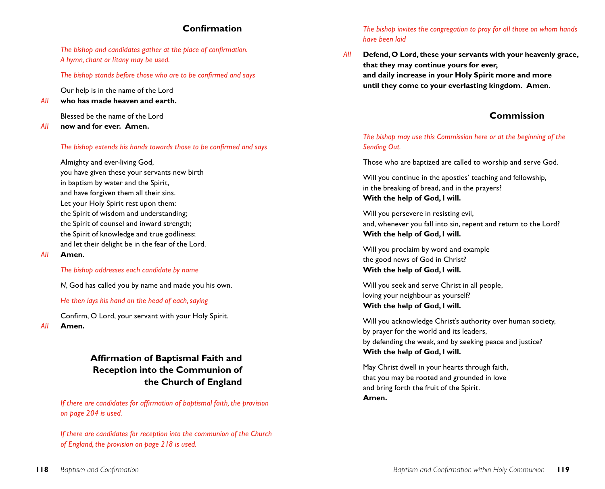# **Confirmation**

*The bishop and candidates gather at the place of confirmation. A hymn, chant or litany may be used.*

*The bishop stands before those who are to be confirmed and says* 

Our help is in the name of the Lord

*All* **who has made heaven and earth.**

Blessed be the name of the Lord

*All* **now and for ever. Amen.**

#### *The bishop extends his hands towards those to be confirmed and says*

Almighty and ever-living God, you have given these your servants new birth in baptism by water and the Spirit, and have forgiven them all their sins. Let your Holy Spirit rest upon them: the Spirit of wisdom and understanding; the Spirit of counsel and inward strength; the Spirit of knowledge and true godliness; and let their delight be in the fear of the Lord.

*All* **Amen.**

#### *The bishop addresses each candidate by name*

*N*, God has called you by name and made you his own.

#### *He then lays his hand on the head of each, saying*

Confirm, O Lord, your servant with your Holy Spirit.

*All* **Amen.**

# **Affirmation of Baptismal Faith and Reception into the Communion of the Church of England**

*If there are candidates for affirmation of baptismal faith, the provision on page 204 is used.*

*If there are candidates for reception into the communion of the Church of England, the provision on page 218 is used.*

*The bishop invites the congregation to pray for all those on whom hands have been laid*

*All* **Defend, O Lord, these your servants with your heavenly grace, that they may continue yours for ever, and daily increase in your Holy Spirit more and more until they come to your everlasting kingdom. Amen.**

## **Commission**

## *The bishop may use this Commission here or at the beginning of the Sending Out.*

Those who are baptized are called to worship and serve God.

Will you continue in the apostles' teaching and fellowship, in the breaking of bread, and in the prayers? **With the help of God, I will.**

Will you persevere in resisting evil, and, whenever you fall into sin, repent and return to the Lord? **With the help of God,I will.**

Will you proclaim by word and example the good news of God in Christ? **With the help of God,I will.**

Will you seek and serve Christ in all people, loving your neighbour as yourself? **With the help of God, I will.**

Will you acknowledge Christ's authority over human society, by prayer for the world and its leaders, by defending the weak, and by seeking peace and justice? **With the help of God, I will.**

May Christ dwell in your hearts through faith, that you may be rooted and grounded in love and bring forth the fruit of the Spirit. **Amen.**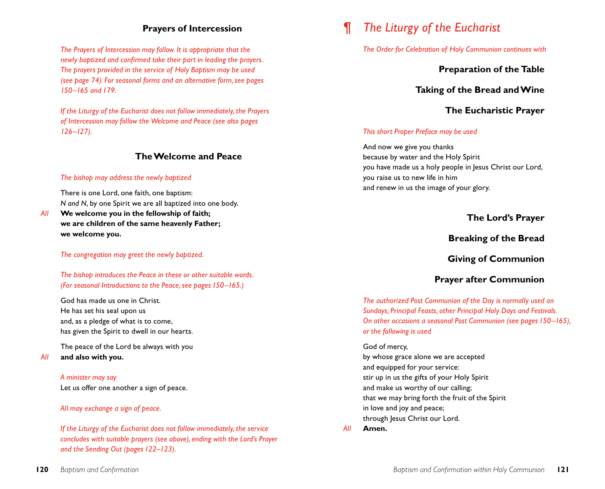# **Prayers of Intercession**

*The Prayers of Intercession may follow. It is appropriate that the newly baptized and confirmed take their part in leading the prayers. The prayers provided in the service of Holy Baptism may be used (see page 74). For seasonal forms and an alternative form, see pages 150–165 and 179.*

*If the Liturgy of the Eucharist does not follow immediately, the Prayers of Intercession may follow the Welcome and Peace (see also pages 126–127).*

## **The Welcome and Peace**

#### *The bishop may address the newly baptized*

There is one Lord, one faith, one baptism: *N and N*, by one Spirit we are all baptized into one body.

*All* **We welcome you in the fellowship of faith; we are children of the same heavenly Father; we welcome you.**

*The congregation may greet the newly baptized.*

*The bishop introduces the Peace in these or other suitable words. (For seasonal Introductions to the Peace, see pages 150–165.)*

God has made us one in Christ. He has set his seal upon us and, as a pledge of what is to come, has given the Spirit to dwell in our hearts.

The peace of the Lord be always with you

*All* **and also with you.**

*A minister may say*  Let us offer one another a sign of peace.

*All may exchange a sign of peace.*

*If the Liturgy of the Eucharist does not follow immediately, the service concludes with suitable prayers (see above), ending with the Lord's Prayer and the Sending Out (pages 122–123).*

# ¶ *The Liturgy of the Eucharist*

*The Order for Celebration of Holy Communion continues with*

**Preparation of the Table**

**Taking of the Bread and Wine**

## **The Eucharistic Prayer**

#### *This short Proper Preface may be used*

And now we give you thanks because by water and the Holy Spirit you have made us a holy people in Jesus Christ our Lord, you raise us to new life in him and renew in us the image of your glory.

**The Lord's Prayer**

## **Breaking of the Bread**

**Giving of Communion**

## **Prayer after Communion**

*The authorized Post Communion of the Day is normally used on Sundays, Principal Feasts, other Principal Holy Days and Festivals. On other occasions a seasonal Post Communion (see pages 150–165), or the following is used*

God of mercy, by whose grace alone we are accepted and equipped for your service: stir up in us the gifts of your Holy Spirit and make us worthy of our calling; that we may bring forth the fruit of the Spirit in love and joy and peace; through Jesus Christ our Lord.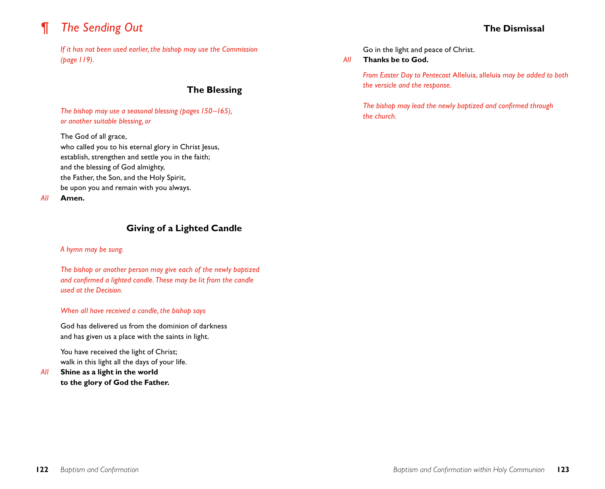# ¶ *The Sending Out*

# **The Dismissal**

*If it has not been used earlier, the bishop may use the Commission (page 119).*

# **The Blessing**

*The bishop may use a seasonal blessing (pages 150–165), or another suitable blessing, or*

The God of all grace,

who called you to his eternal glory in Christ Jesus, establish, strengthen and settle you in the faith; and the blessing of God almighty, the Father, the Son, and the Holy Spirit, be upon you and remain with you always.

*All* **Amen.**

# **Giving of a Lighted Candle**

*A hymn may be sung.*

*The bishop or another person may give each of the newly baptized and confirmed a lighted candle. These may be lit from the candle used at the Decision.*

#### *When all have received a candle, the bishop says*

God has delivered us from the dominion of darkness and has given us a place with the saints in light.

You have received the light of Christ; walk in this light all the days of your life.

### *All* **Shine as a light in the world to the glory of God the Father.**

Go in the light and peace of Christ.

### *All* **Thanks be to God.**

*From Easter Day to Pentecost* Alleluia, alleluia *may be added to both the versicle and the response.*

*The bishop may lead the newly baptized and confirmed through the church.*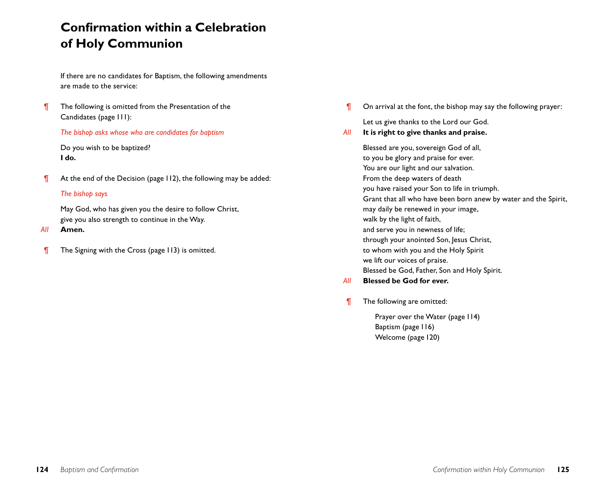# **Confirmation within a Celebration of Holy Communion**

If there are no candidates for Baptism, the following amendments are made to the service:

**The following is omitted from the Presentation of the** Candidates (page 111):

*The bishop asks whose who are candidates for baptism*

Do you wish to be baptized? **I do.**

¶ At the end of the Decision (page 112), the following may be added:

#### *The bishop says*

May God, who has given you the desire to follow Christ, give you also strength to continue in the Way.

- *All* **Amen.**
- **The Signing with the Cross (page 113) is omitted.**
- ¶ On arrival at the font, the bishop may say the following prayer:
	- Let us give thanks to the Lord our God.
- *All* **It is right to give thanks and praise.**

Blessed are you, sovereign God of all, to you be glory and praise for ever. You are our light and our salvation. From the deep waters of death you have raised your Son to life in triumph. Grant that all who have been born anew by water and the Spirit, may daily be renewed in your image, walk by the light of faith, and serve you in newness of life; through your anointed Son, Jesus Christ, to whom with you and the Holy Spirit we lift our voices of praise. Blessed be God, Father, Son and Holy Spirit. *All* **Blessed be God for ever.**

**The following are omitted:** 

Prayer over the Water (page 114) Baptism (page 116) Welcome (page 120)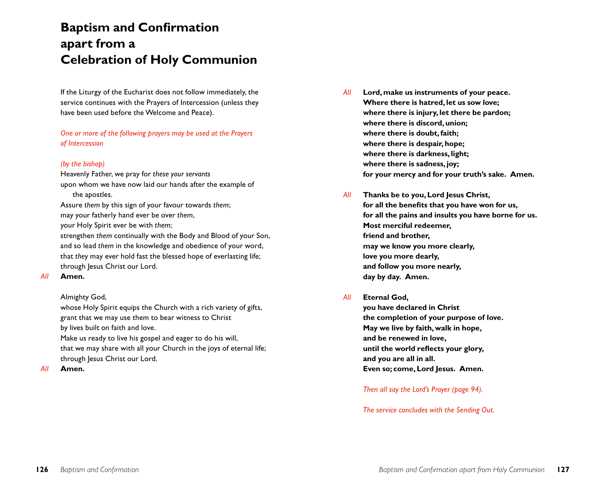# **Baptism and Confirmation apart from a Celebration of Holy Communion**

If the Liturgy of the Eucharist does not follow immediately, the service continues with the Prayers of Intercession (unless they have been used before the Welcome and Peace).

*One or more of the following prayers may be used at the Prayers of Intercession*

#### *(by the bishop)*

Heavenly Father, we pray for *these your servants* upon whom we have now laid our hands after the example of the apostles. Assure *them* by this sign of your favour towards *them*; may your fatherly hand ever be over *them*, your Holy Spirit ever be with *them*; strengthen *them* continually with the Body and Blood of your Son, and so lead *them* in the knowledge and obedience of your word, that *they* may ever hold fast the blessed hope of everlasting life; through Jesus Christ our Lord.

*All* **Amen.**

#### Almighty God,

whose Holy Spirit equips the Church with a rich variety of gifts, grant that we may use them to bear witness to Christ by lives built on faith and love.

Make us ready to live his gospel and eager to do his will, that we may share with all your Church in the joys of eternal life; through Jesus Christ our Lord.

*All* **Amen.**

- *All* **Lord, make us instruments of your peace. Where there is hatred, let us sow love; where there is injury, let there be pardon; where there is discord, union; where there is doubt, faith; where there is despair, hope; where there is darkness, light; where there is sadness, joy; for your mercy and for your truth's sake. Amen.**
- *All* **Thanks be to you, Lord Jesus Christ, for all the benefits that you have won for us, for all the pains and insults you have borne for us. Most merciful redeemer, friend and brother, may we know you more clearly, love you more dearly, and follow you more nearly, day by day. Amen.**
- *All* **Eternal God,**

**you have declared in Christ the completion of your purpose of love. May we live by faith, walk in hope, and be renewed in love, until the world reflects your glory, and you are all in all. Even so; come, Lord Jesus. Amen.**

#### *Then all say the Lord's Prayer (page 94).*

*The service concludes with the Sending Out.*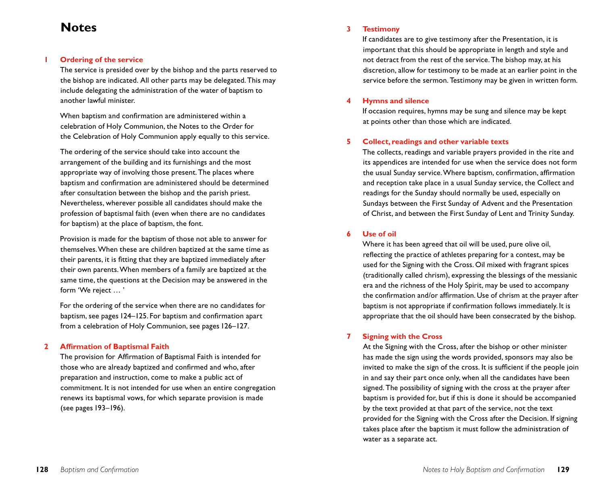# **Notes**

#### **1 Ordering of the service**

The service is presided over by the bishop and the parts reserved to the bishop are indicated. All other parts may be delegated. This may include delegating the administration of the water of baptism to another lawful minister.

When baptism and confirmation are administered within a celebration of Holy Communion, the Notes to the Order for the Celebration of Holy Communion apply equally to this service.

The ordering of the service should take into account the arrangement of the building and its furnishings and the most appropriate way of involving those present. The places where baptism and confirmation are administered should be determined after consultation between the bishop and the parish priest. Nevertheless, wherever possible all candidates should make the profession of baptismal faith (even when there are no candidates for baptism) at the place of baptism, the font.

Provision is made for the baptism of those not able to answer for themselves.When these are children baptized at the same time as their parents, it is fitting that they are baptized immediately after their own parents.When members of a family are baptized at the same time, the questions at the Decision may be answered in the form 'We reject … '

For the ordering of the service when there are no candidates for baptism, see pages 124–125. For baptism and confirmation apart from a celebration of Holy Communion, see pages 126–127.

#### **2 Affirmation of Baptismal Faith**

The provision for Affirmation of Baptismal Faith is intended for those who are already baptized and confirmed and who, after preparation and instruction, come to make a public act of commitment. It is not intended for use when an entire congregation renews its baptismal vows, for which separate provision is made (see pages 193–196).

### **3 Testimony**

If candidates are to give testimony after the Presentation, it is important that this should be appropriate in length and style and not detract from the rest of the service. The bishop may, at his discretion, allow for testimony to be made at an earlier point in the service before the sermon. Testimony may be given in written form.

#### **4 Hymns and silence**

If occasion requires, hymns may be sung and silence may be kept at points other than those which are indicated.

### **5 Collect, readings and other variable texts**

The collects, readings and variable prayers provided in the rite and its appendices are intended for use when the service does not form the usual Sunday service.Where baptism, confirmation, affirmation and reception take place in a usual Sunday service, the Collect and readings for the Sunday should normally be used, especially on Sundays between the First Sunday of Advent and the Presentation of Christ, and between the First Sunday of Lent and Trinity Sunday.

### **6 Use of oil**

Where it has been agreed that oil will be used, pure olive oil, reflecting the practice of athletes preparing for a contest, may be used for the Signing with the Cross. Oil mixed with fragrant spices (traditionally called chrism), expressing the blessings of the messianic era and the richness of the Holy Spirit, may be used to accompany the confirmation and/or affirmation. Use of chrism at the prayer after baptism is not appropriate if confirmation follows immediately. It is appropriate that the oil should have been consecrated by the bishop.

## **7 Signing with the Cross**

At the Signing with the Cross, after the bishop or other minister has made the sign using the words provided, sponsors may also be invited to make the sign of the cross. It is sufficient if the people join in and say their part once only, when all the candidates have been signed.The possibility of signing with the cross at the prayer after baptism is provided for, but if this is done it should be accompanied by the text provided at that part of the service, not the text provided for the Signing with the Cross after the Decision. If signing takes place after the baptism it must follow the administration of water as a separate act.